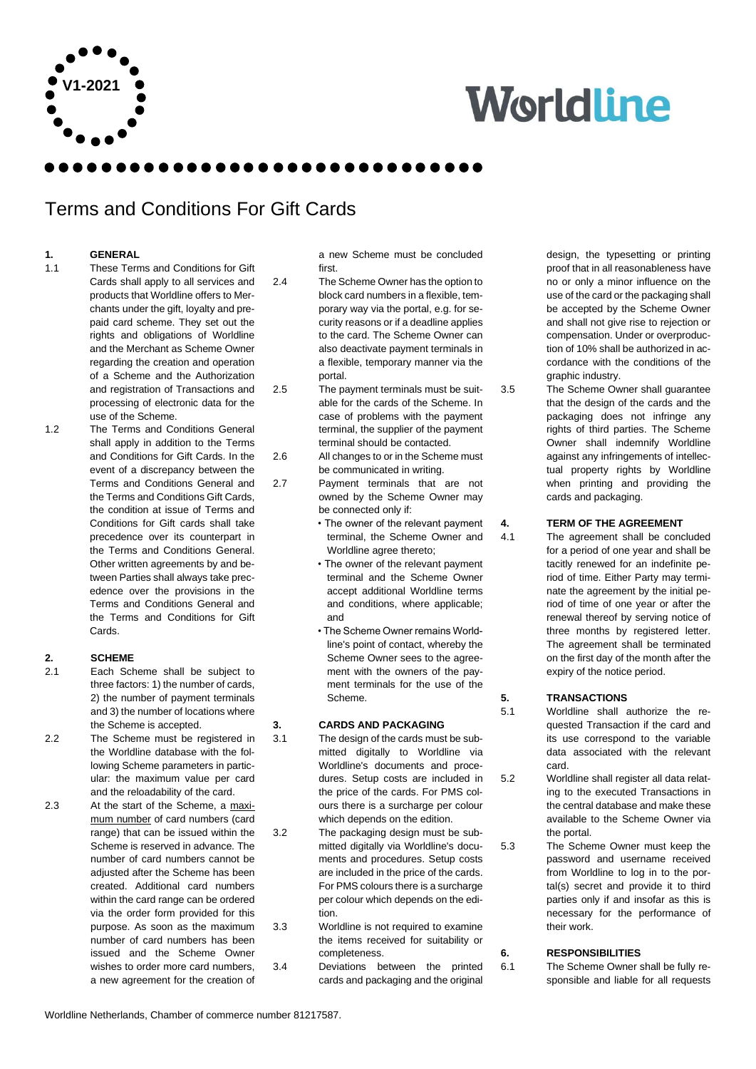

# **Worldline**

### Terms and Conditions For Gift Cards

#### **1. GENERAL**

- 1.1 These Terms and Conditions for Gift Cards shall apply to all services and products that Worldline offers to Merchants under the gift, loyalty and prepaid card scheme. They set out the rights and obligations of Worldline and the Merchant as Scheme Owner regarding the creation and operation of a Scheme and the Authorization and registration of Transactions and processing of electronic data for the use of the Scheme.
- 1.2 The Terms and Conditions General shall apply in addition to the Terms and Conditions for Gift Cards. In the event of a discrepancy between the Terms and Conditions General and the Terms and Conditions Gift Cards, the condition at issue of Terms and Conditions for Gift cards shall take precedence over its counterpart in the Terms and Conditions General. Other written agreements by and between Parties shall always take precedence over the provisions in the Terms and Conditions General and the Terms and Conditions for Gift Cards.

#### **2. SCHEME**

- 2.1 Each Scheme shall be subject to three factors: 1) the number of cards, 2) the number of payment terminals and 3) the number of locations where the Scheme is accepted.
- 2.2 The Scheme must be registered in the Worldline database with the following Scheme parameters in particular: the maximum value per card and the reloadability of the card.
- 2.3 At the start of the Scheme, a maximum number of card numbers (card range) that can be issued within the Scheme is reserved in advance. The number of card numbers cannot be adjusted after the Scheme has been created. Additional card numbers within the card range can be ordered via the order form provided for this purpose. As soon as the maximum number of card numbers has been issued and the Scheme Owner wishes to order more card numbers, a new agreement for the creation of

a new Scheme must be concluded first.

2.4 The Scheme Owner has the option to block card numbers in a flexible, temporary way via the portal, e.g. for security reasons or if a deadline applies to the card. The Scheme Owner can also deactivate payment terminals in a flexible, temporary manner via the portal.

2.5 The payment terminals must be suitable for the cards of the Scheme. In case of problems with the payment terminal, the supplier of the payment terminal should be contacted.

- 2.6 All changes to or in the Scheme must be communicated in writing.
- 2.7 Payment terminals that are not owned by the Scheme Owner may be connected only if:
	- The owner of the relevant payment terminal, the Scheme Owner and Worldline agree thereto;
	- The owner of the relevant payment terminal and the Scheme Owner accept additional Worldline terms and conditions, where applicable; and
	- The Scheme Owner remains Worldline's point of contact, whereby the Scheme Owner sees to the agreement with the owners of the payment terminals for the use of the Scheme.

#### **3. CARDS AND PACKAGING**

- 3.1 The design of the cards must be submitted digitally to Worldline via Worldline's documents and procedures. Setup costs are included in the price of the cards. For PMS colours there is a surcharge per colour which depends on the edition.
- 3.2 The packaging design must be submitted digitally via Worldline's documents and procedures. Setup costs are included in the price of the cards. For PMS colours there is a surcharge per colour which depends on the edition.
- 3.3 Worldline is not required to examine the items received for suitability or completeness.
- 3.4 Deviations between the printed cards and packaging and the original

design, the typesetting or printing proof that in all reasonableness have no or only a minor influence on the use of the card or the packaging shall be accepted by the Scheme Owner and shall not give rise to rejection or compensation. Under or overproduction of 10% shall be authorized in accordance with the conditions of the graphic industry.

3.5 The Scheme Owner shall guarantee that the design of the cards and the packaging does not infringe any rights of third parties. The Scheme Owner shall indemnify Worldline against any infringements of intellectual property rights by Worldline when printing and providing the cards and packaging.

#### **4. TERM OF THE AGREEMENT**

4.1 The agreement shall be concluded for a period of one year and shall be tacitly renewed for an indefinite period of time. Either Party may terminate the agreement by the initial period of time of one year or after the renewal thereof by serving notice of three months by registered letter. The agreement shall be terminated on the first day of the month after the expiry of the notice period.

#### **5. TRANSACTIONS**

5.1 Worldline shall authorize the requested Transaction if the card and its use correspond to the variable data associated with the relevant card.

5.2 Worldline shall register all data relating to the executed Transactions in the central database and make these available to the Scheme Owner via the portal.

5.3 The Scheme Owner must keep the password and username received from Worldline to log in to the portal(s) secret and provide it to third parties only if and insofar as this is necessary for the performance of their work.

#### **6. RESPONSIBILITIES**

6.1 The Scheme Owner shall be fully responsible and liable for all requests